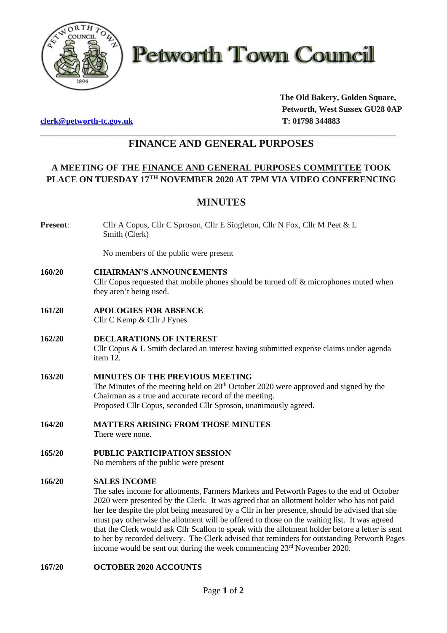

**Petworth Town Council** 

**[clerk@petworth-tc.gov.uk](mailto:clerk@petworth-tc.gov.uk) T: 01798 344883**

**The Old Bakery, Golden Square, Petworth, West Sussex GU28 0AP**

## **\_\_\_\_\_\_\_\_\_\_\_\_\_\_\_\_\_\_\_\_\_\_\_\_\_\_\_\_\_\_\_\_\_\_\_\_\_\_\_\_\_\_\_\_\_\_\_\_\_\_\_\_\_\_\_\_\_\_\_\_\_\_\_\_\_\_\_\_\_\_\_\_\_\_\_\_\_\_\_ FINANCE AND GENERAL PURPOSES**

# **A MEETING OF THE FINANCE AND GENERAL PURPOSES COMMITTEE TOOK PLACE ON TUESDAY 17TH NOVEMBER 2020 AT 7PM VIA VIDEO CONFERENCING**

# **MINUTES**

**Present**: Cllr A Copus, Cllr C Sproson, Cllr E Singleton, Cllr N Fox, Cllr M Peet & L Smith (Clerk)

No members of the public were present

**160/20 CHAIRMAN'S ANNOUNCEMENTS**

Cllr Copus requested that mobile phones should be turned off  $\&$  microphones muted when they aren't being used.

- **161/20 APOLOGIES FOR ABSENCE** Cllr C Kemp & Cllr J Fynes
- **162/20 DECLARATIONS OF INTEREST** Cllr Copus & L Smith declared an interest having submitted expense claims under agenda item 12.
- **163/20 MINUTES OF THE PREVIOUS MEETING** The Minutes of the meeting held on 20<sup>th</sup> October 2020 were approved and signed by the Chairman as a true and accurate record of the meeting. Proposed Cllr Copus, seconded Cllr Sproson, unanimously agreed.
- **164/20 MATTERS ARISING FROM THOSE MINUTES**

There were none.

**165/20 PUBLIC PARTICIPATION SESSION**

No members of the public were present

## **166/20 SALES INCOME**

The sales income for allotments, Farmers Markets and Petworth Pages to the end of October 2020 were presented by the Clerk. It was agreed that an allotment holder who has not paid her fee despite the plot being measured by a Cllr in her presence, should be advised that she must pay otherwise the allotment will be offered to those on the waiting list. It was agreed that the Clerk would ask Cllr Scallon to speak with the allotment holder before a letter is sent to her by recorded delivery. The Clerk advised that reminders for outstanding Petworth Pages income would be sent out during the week commencing  $23<sup>rd</sup>$  November 2020.

## **167/20 OCTOBER 2020 ACCOUNTS**